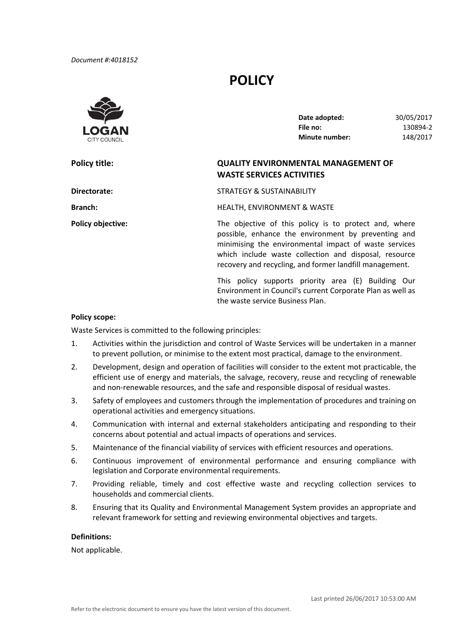# **POLICY**



**Policy title:** 

 **Date adopted:** 30/05/2017 **File no: Minute number:** 148/2017 **File no:** 130894‐2

## **Policy title: QUALITY ENVIRONMENTAL MANAGEMENT OF WASTE SERVICES ACTIVITIES**

**Directorate:** STRATEGY & SUSTAINABILITY

Branch: Branch: **Branch:** HEALTH, ENVIRONMENT & WASTE

**Policy objective:** The objective of this policy is to protect and, where possible, enhance the environment by preventing and minimising the environmental impact of waste services which include waste collection and disposal, resource recovery and recycling, and former landfill management.

> This policy supports priority area (E) Building Our Environment in Council's current Corporate Plan as well as the waste service Business Plan.

#### **Policy scope:**

Waste Services is committed to the following principles:

- 1. Activities within the jurisdiction and control of Waste Services will be undertaken in a manner to prevent pollution, or minimise to the extent most practical, damage to the environment.
- 2. Development, design and operation of facilities will consider to the extent mot practicable, the efficient use of energy and materials, the salvage, recovery, reuse and recycling of renewable and non‐renewable resources, and the safe and responsible disposal of residual wastes.
- 3. Safety of employees and customers through the implementation of procedures and training on operational activities and emergency situations.
- 4. Communication with internal and external stakeholders anticipating and responding to their concerns about potential and actual impacts of operations and services.
- 5. Maintenance of the financial viability of services with efficient resources and operations.
- 6. Continuous improvement of environmental performance and ensuring compliance with legislation and Corporate environmental requirements.
- 7. Providing reliable, timely and cost effective waste and recycling collection services to households and commercial clients.
- 8. Ensuring that its Quality and Environmental Management System provides an appropriate and relevant framework for setting and reviewing environmental objectives and targets.

#### **Definitions:**

Not applicable.